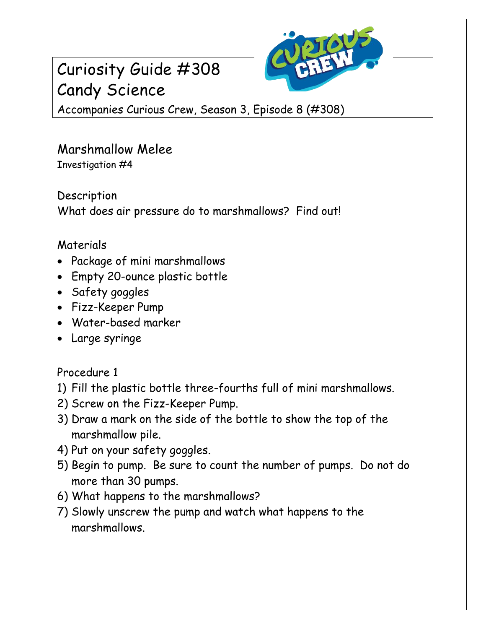# Curiosity Guide #308 Candy Science



Accompanies Curious Crew, Season 3, Episode 8 (#308)

#### Marshmallow Melee Investigation #4

Description What does air pressure do to marshmallows? Find out!

### Materials

- Package of mini marshmallows
- Empty 20-ounce plastic bottle
- Safety goggles
- Fizz-Keeper Pump
- Water-based marker
- Large syringe

## Procedure 1

- 1) Fill the plastic bottle three-fourths full of mini marshmallows.
- 2) Screw on the Fizz-Keeper Pump.
- 3) Draw a mark on the side of the bottle to show the top of the marshmallow pile.
- 4) Put on your safety goggles.
- 5) Begin to pump. Be sure to count the number of pumps. Do not do more than 30 pumps.
- 6) What happens to the marshmallows?
- 7) Slowly unscrew the pump and watch what happens to the marshmallows.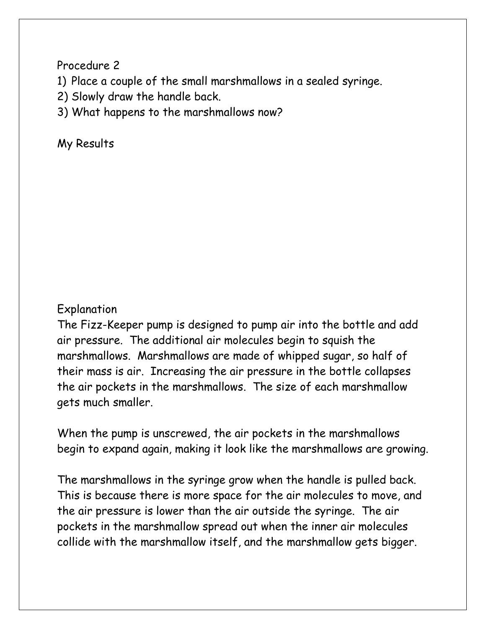Procedure 2

- 1) Place a couple of the small marshmallows in a sealed syringe.
- 2) Slowly draw the handle back.
- 3) What happens to the marshmallows now?

My Results

### Explanation

The Fizz-Keeper pump is designed to pump air into the bottle and add air pressure. The additional air molecules begin to squish the marshmallows. Marshmallows are made of whipped sugar, so half of their mass is air. Increasing the air pressure in the bottle collapses the air pockets in the marshmallows. The size of each marshmallow gets much smaller.

When the pump is unscrewed, the air pockets in the marshmallows begin to expand again, making it look like the marshmallows are growing.

The marshmallows in the syringe grow when the handle is pulled back. This is because there is more space for the air molecules to move, and the air pressure is lower than the air outside the syringe. The air pockets in the marshmallow spread out when the inner air molecules collide with the marshmallow itself, and the marshmallow gets bigger.